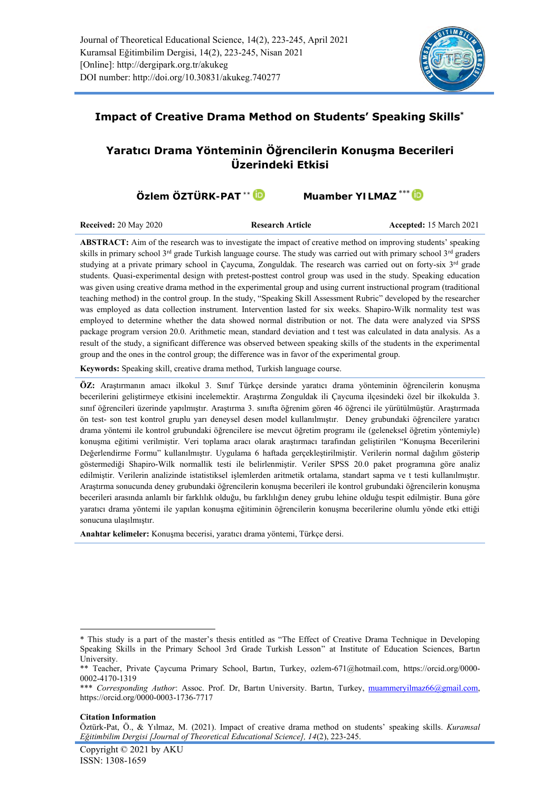

# **Impact of Creative Drama Method on Students' Speaking Skills\***

# **Yaratıcı Drama Yönteminin Öğrencilerin Konuşma Becerileri Üzerindeki Etkisi**

**Özlem ÖZTÜRK**-PAT<sup>\*\*</sup> ID Muamber YILMAZ<sup>\*\*\*</sup> ID

**Received:** 20 May 2020 **Research Article Accepted:** 15 March 2021

**ABSTRACT:** Aim of the research was to investigate the impact of creative method on improving students' speaking skills in primary school  $3^{rd}$  grade Turkish language course. The study was carried out with primary school  $3^{rd}$  graders studying at a private primary school in Caycuma, Zonguldak. The research was carried out on forty-six 3<sup>rd</sup> grade students. Quasi-experimental design with pretest-posttest control group was used in the study. Speaking education was given using creative drama method in the experimental group and using current instructional program (traditional teaching method) in the control group. In the study, "Speaking Skill Assessment Rubric" developed by the researcher was employed as data collection instrument. Intervention lasted for six weeks. Shapiro-Wilk normality test was employed to determine whether the data showed normal distribution or not. The data were analyzed via SPSS package program version 20.0. Arithmetic mean, standard deviation and t test was calculated in data analysis. As a result of the study, a significant difference was observed between speaking skills of the students in the experimental group and the ones in the control group; the difference was in favor of the experimental group.

**Keywords:** Speaking skill, creative drama method, Turkish language course.

**ÖZ:** Araştırmanın amacı ilkokul 3. Sınıf Türkçe dersinde yaratıcı drama yönteminin öğrencilerin konuşma becerilerini geliştirmeye etkisini incelemektir. Araştırma Zonguldak ili Çaycuma ilçesindeki özel bir ilkokulda 3. sınıf öğrencileri üzerinde yapılmıştır. Araştırma 3. sınıfta öğrenim gören 46 öğrenci ile yürütülmüştür. Araştırmada ön test- son test kontrol gruplu yarı deneysel desen model kullanılmıştır. Deney grubundaki öğrencilere yaratıcı drama yöntemi ile kontrol grubundaki öğrencilere ise mevcut öğretim programı ile (geleneksel öğretim yöntemiyle) konuşma eğitimi verilmiştir. Veri toplama aracı olarak araştırmacı tarafından geliştirilen "Konuşma Becerilerini Değerlendirme Formu" kullanılmıştır. Uygulama 6 haftada gerçekleştirilmiştir. Verilerin normal dağılım gösterip göstermediği Shapiro-Wilk normallik testi ile belirlenmiştir. Veriler SPSS 20.0 paket programına göre analiz edilmiştir. Verilerin analizinde istatistiksel işlemlerden aritmetik ortalama, standart sapma ve t testi kullanılmıştır. Araştırma sonucunda deney grubundaki öğrencilerin konuşma becerileri ile kontrol grubundaki öğrencilerin konuşma becerileri arasında anlamlı bir farklılık olduğu, bu farklılığın deney grubu lehine olduğu tespit edilmiştir. Buna göre yaratıcı drama yöntemi ile yapılan konuşma eğitiminin öğrencilerin konuşma becerilerine olumlu yönde etki ettiği sonucuna ulaşılmıştır.

**Anahtar kelimeler:** Konuşma becerisi, yaratıcı drama yöntemi, Türkçe dersi.

#### **Citation Information**

<sup>\*</sup> This study is a part of the master's thesis entitled as "The Effect of Creative Drama Technique in Developing Speaking Skills in the Primary School 3rd Grade Turkish Lesson" at Institute of Education Sciences, Bartın University.

<sup>\*\*</sup> Teacher, Private Çaycuma Primary School, Bartın, Turkey, [ozlem-671@hotmail.com,](mailto:ozlem-671@hotmail.com) [https://orcid.org/0000-](https://orcid.org/0000-0002-4170-1319) [0002-4170-1319](https://orcid.org/0000-0002-4170-1319)

<sup>\*\*\*</sup> *Corresponding Author*: Assoc. Prof. Dr, Bartın University. Bartın, Turkey, [muammeryilmaz66@gmail.com,](mailto:muammeryilmaz66@gmail.com) <https://orcid.org/0000-0003-1736-7717>

Öztürk-Pat, Ö., & Yılmaz, M. (2021). Impact of creative drama method on students' speaking skills. *Kuramsal Eğitimbilim Dergisi [Journal of Theoretical Educational Science], 14*(2), 223-245.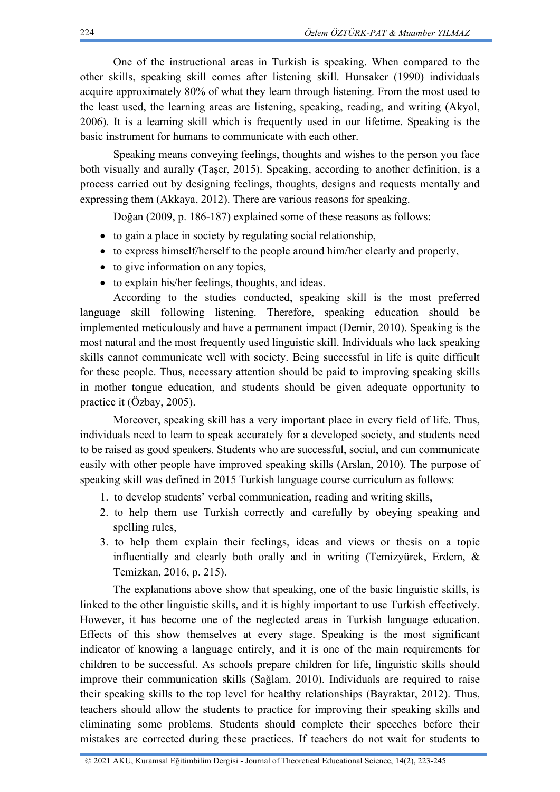One of the instructional areas in Turkish is speaking. When compared to the other skills, speaking skill comes after listening skill. Hunsaker (1990) individuals acquire approximately 80% of what they learn through listening. From the most used to the least used, the learning areas are listening, speaking, reading, and writing (Akyol, 2006). It is a learning skill which is frequently used in our lifetime. Speaking is the basic instrument for humans to communicate with each other.

Speaking means conveying feelings, thoughts and wishes to the person you face both visually and aurally (Taşer, 2015). Speaking, according to another definition, is a process carried out by designing feelings, thoughts, designs and requests mentally and expressing them (Akkaya, 2012). There are various reasons for speaking.

Doğan (2009, p. 186-187) explained some of these reasons as follows:

- to gain a place in society by regulating social relationship,
- to express himself/herself to the people around him/her clearly and properly,
- to give information on any topics,
- to explain his/her feelings, thoughts, and ideas.

According to the studies conducted, speaking skill is the most preferred language skill following listening. Therefore, speaking education should be implemented meticulously and have a permanent impact (Demir, 2010). Speaking is the most natural and the most frequently used linguistic skill. Individuals who lack speaking skills cannot communicate well with society. Being successful in life is quite difficult for these people. Thus, necessary attention should be paid to improving speaking skills in mother tongue education, and students should be given adequate opportunity to practice it (Özbay, 2005).

Moreover, speaking skill has a very important place in every field of life. Thus, individuals need to learn to speak accurately for a developed society, and students need to be raised as good speakers. Students who are successful, social, and can communicate easily with other people have improved speaking skills (Arslan, 2010). The purpose of speaking skill was defined in 2015 Turkish language course curriculum as follows:

- 1. to develop students' verbal communication, reading and writing skills,
- 2. to help them use Turkish correctly and carefully by obeying speaking and spelling rules,
- 3. to help them explain their feelings, ideas and views or thesis on a topic influentially and clearly both orally and in writing (Temizyürek, Erdem, & Temizkan, 2016, p. 215).

The explanations above show that speaking, one of the basic linguistic skills, is linked to the other linguistic skills, and it is highly important to use Turkish effectively. However, it has become one of the neglected areas in Turkish language education. Effects of this show themselves at every stage. Speaking is the most significant indicator of knowing a language entirely, and it is one of the main requirements for children to be successful. As schools prepare children for life, linguistic skills should improve their communication skills (Sağlam, 2010). Individuals are required to raise their speaking skills to the top level for healthy relationships (Bayraktar, 2012). Thus, teachers should allow the students to practice for improving their speaking skills and eliminating some problems. Students should complete their speeches before their mistakes are corrected during these practices. If teachers do not wait for students to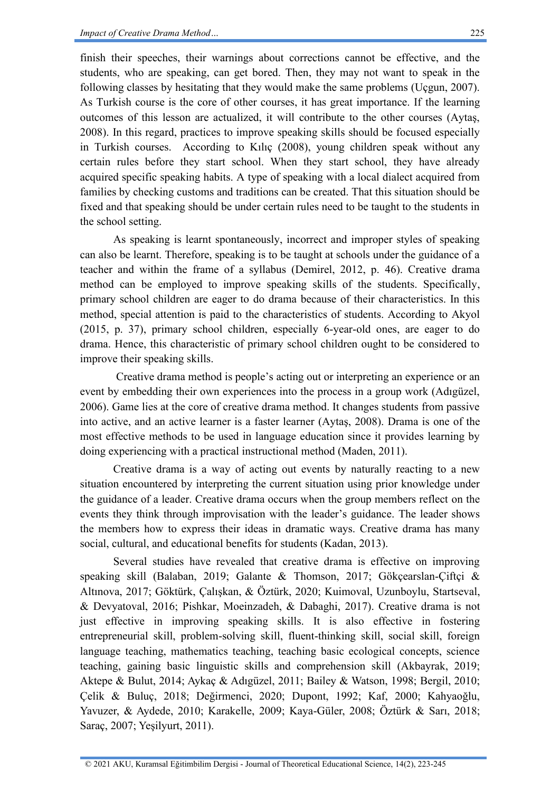finish their speeches, their warnings about corrections cannot be effective, and the students, who are speaking, can get bored. Then, they may not want to speak in the following classes by hesitating that they would make the same problems (Uçgun, 2007). As Turkish course is the core of other courses, it has great importance. If the learning outcomes of this lesson are actualized, it will contribute to the other courses (Aytaş, 2008). In this regard, practices to improve speaking skills should be focused especially in Turkish courses. According to Kılıç (2008), young children speak without any certain rules before they start school. When they start school, they have already acquired specific speaking habits. A type of speaking with a local dialect acquired from families by checking customs and traditions can be created. That this situation should be fixed and that speaking should be under certain rules need to be taught to the students in the school setting.

As speaking is learnt spontaneously, incorrect and improper styles of speaking can also be learnt. Therefore, speaking is to be taught at schools under the guidance of a teacher and within the frame of a syllabus (Demirel, 2012, p. 46). Creative drama method can be employed to improve speaking skills of the students. Specifically, primary school children are eager to do drama because of their characteristics. In this method, special attention is paid to the characteristics of students. According to Akyol (2015, p. 37), primary school children, especially 6-year-old ones, are eager to do drama. Hence, this characteristic of primary school children ought to be considered to improve their speaking skills.

Creative drama method is people's acting out or interpreting an experience or an event by embedding their own experiences into the process in a group work (Adıgüzel, 2006). Game lies at the core of creative drama method. It changes students from passive into active, and an active learner is a faster learner (Aytaş, 2008). Drama is one of the most effective methods to be used in language education since it provides learning by doing experiencing with a practical instructional method (Maden, 2011).

Creative drama is a way of acting out events by naturally reacting to a new situation encountered by interpreting the current situation using prior knowledge under the guidance of a leader. Creative drama occurs when the group members reflect on the events they think through improvisation with the leader's guidance. The leader shows the members how to express their ideas in dramatic ways. Creative drama has many social, cultural, and educational benefits for students (Kadan, 2013).

Several studies have revealed that creative drama is effective on improving speaking skill (Balaban, 2019; Galante & Thomson, 2017; Gökçearslan-Çiftçi & Altınova, 2017; Göktürk, Çalışkan, & Öztürk, 2020; Kuimoval, Uzunboylu, Startseval, & Devyatoval, 2016; Pishkar, Moeinzadeh, & Dabaghi, 2017). Creative drama is not just effective in improving speaking skills. It is also effective in fostering entrepreneurial skill, problem-solving skill, fluent-thinking skill, social skill, foreign language teaching, mathematics teaching, teaching basic ecological concepts, science teaching, gaining basic linguistic skills and comprehension skill (Akbayrak, 2019; Aktepe & Bulut, 2014; Aykaç & Adıgüzel, 2011; Bailey & Watson, 1998; Bergil, 2010; Çelik & Buluç, 2018; Değirmenci, 2020; Dupont, 1992; Kaf, 2000; Kahyaoğlu, Yavuzer, & Aydede, 2010; Karakelle, 2009; Kaya-Güler, 2008; Öztürk & Sarı, 2018; Saraç, 2007; Yeşilyurt, 2011).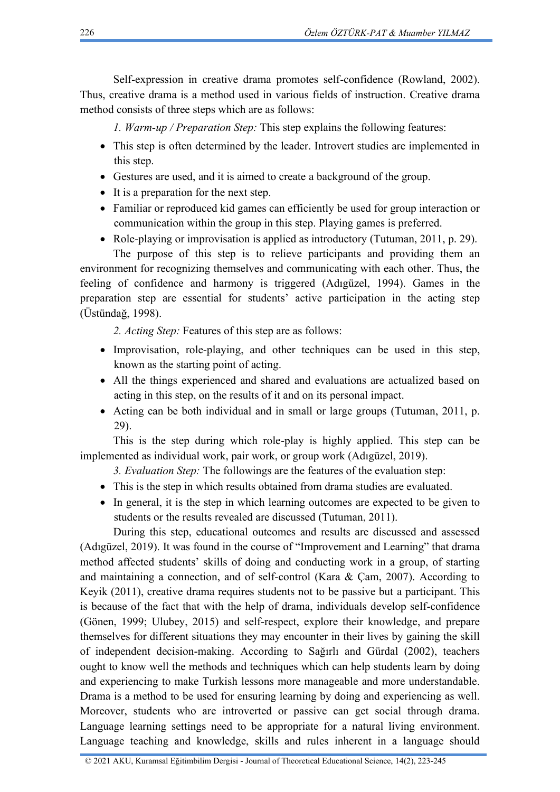Self-expression in creative drama promotes self-confidence (Rowland, 2002). Thus, creative drama is a method used in various fields of instruction. Creative drama method consists of three steps which are as follows:

*1. Warm-up / Preparation Step:* This step explains the following features:

- This step is often determined by the leader. Introvert studies are implemented in this step.
- Gestures are used, and it is aimed to create a background of the group.
- It is a preparation for the next step.
- Familiar or reproduced kid games can efficiently be used for group interaction or communication within the group in this step. Playing games is preferred.
- Role-playing or improvisation is applied as introductory (Tutuman, 2011, p. 29).

The purpose of this step is to relieve participants and providing them an environment for recognizing themselves and communicating with each other. Thus, the feeling of confidence and harmony is triggered (Adıgüzel, 1994). Games in the preparation step are essential for students' active participation in the acting step (Üstündağ, 1998).

*2. Acting Step:* Features of this step are as follows:

- Improvisation, role-playing, and other techniques can be used in this step, known as the starting point of acting.
- All the things experienced and shared and evaluations are actualized based on acting in this step, on the results of it and on its personal impact.
- Acting can be both individual and in small or large groups (Tutuman, 2011, p. 29).

This is the step during which role-play is highly applied. This step can be implemented as individual work, pair work, or group work (Adıgüzel, 2019).

*3. Evaluation Step:* The followings are the features of the evaluation step:

- This is the step in which results obtained from drama studies are evaluated.
- In general, it is the step in which learning outcomes are expected to be given to students or the results revealed are discussed (Tutuman, 2011).

During this step, educational outcomes and results are discussed and assessed (Adıgüzel, 2019). It was found in the course of "Improvement and Learning" that drama method affected students' skills of doing and conducting work in a group, of starting and maintaining a connection, and of self-control (Kara & Çam, 2007). According to Keyik (2011), creative drama requires students not to be passive but a participant. This is because of the fact that with the help of drama, individuals develop self-confidence (Gönen, 1999; Ulubey, 2015) and self-respect, explore their knowledge, and prepare themselves for different situations they may encounter in their lives by gaining the skill of independent decision-making. According to Sağırlı and Gürdal (2002), teachers ought to know well the methods and techniques which can help students learn by doing and experiencing to make Turkish lessons more manageable and more understandable. Drama is a method to be used for ensuring learning by doing and experiencing as well. Moreover, students who are introverted or passive can get social through drama. Language learning settings need to be appropriate for a natural living environment. Language teaching and knowledge, skills and rules inherent in a language should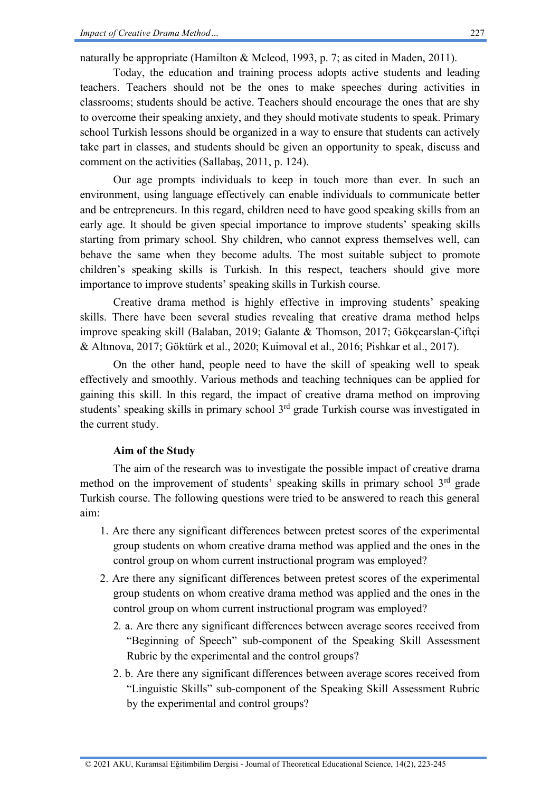naturally be appropriate (Hamilton & Mcleod, 1993, p. 7; as cited in Maden, 2011).

Today, the education and training process adopts active students and leading teachers. Teachers should not be the ones to make speeches during activities in classrooms; students should be active. Teachers should encourage the ones that are shy to overcome their speaking anxiety, and they should motivate students to speak. Primary school Turkish lessons should be organized in a way to ensure that students can actively take part in classes, and students should be given an opportunity to speak, discuss and comment on the activities (Sallabaş, 2011, p. 124).

Our age prompts individuals to keep in touch more than ever. In such an environment, using language effectively can enable individuals to communicate better and be entrepreneurs. In this regard, children need to have good speaking skills from an early age. It should be given special importance to improve students' speaking skills starting from primary school. Shy children, who cannot express themselves well, can behave the same when they become adults. The most suitable subject to promote children's speaking skills is Turkish. In this respect, teachers should give more importance to improve students' speaking skills in Turkish course.

Creative drama method is highly effective in improving students' speaking skills. There have been several studies revealing that creative drama method helps improve speaking skill (Balaban, 2019; Galante & Thomson, 2017; Gökçearslan-Çiftçi & Altınova, 2017; Göktürk et al., 2020; Kuimoval et al., 2016; Pishkar et al., 2017).

On the other hand, people need to have the skill of speaking well to speak effectively and smoothly. Various methods and teaching techniques can be applied for gaining this skill. In this regard, the impact of creative drama method on improving students' speaking skills in primary school 3<sup>rd</sup> grade Turkish course was investigated in the current study.

### **Aim of the Study**

The aim of the research was to investigate the possible impact of creative drama method on the improvement of students' speaking skills in primary school 3<sup>rd</sup> grade Turkish course. The following questions were tried to be answered to reach this general aim:

- 1. Are there any significant differences between pretest scores of the experimental group students on whom creative drama method was applied and the ones in the control group on whom current instructional program was employed?
- 2. Are there any significant differences between pretest scores of the experimental group students on whom creative drama method was applied and the ones in the control group on whom current instructional program was employed?
	- 2*.* a. Are there any significant differences between average scores received from "Beginning of Speech" sub-component of the Speaking Skill Assessment Rubric by the experimental and the control groups?
	- 2. b. Are there any significant differences between average scores received from "Linguistic Skills" sub-component of the Speaking Skill Assessment Rubric by the experimental and control groups?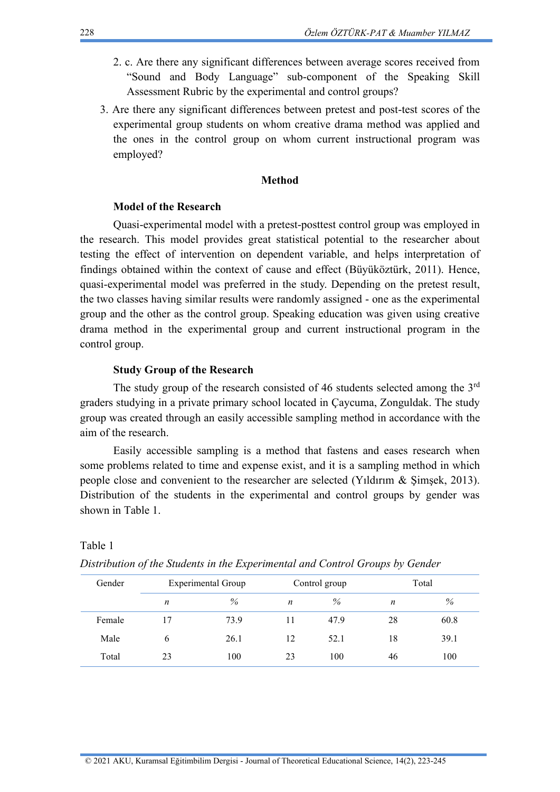- 2. c. Are there any significant differences between average scores received from "Sound and Body Language" sub-component of the Speaking Skill Assessment Rubric by the experimental and control groups?
- 3. Are there any significant differences between pretest and post-test scores of the experimental group students on whom creative drama method was applied and the ones in the control group on whom current instructional program was employed?

## **Method**

### **Model of the Research**

Quasi-experimental model with a pretest-posttest control group was employed in the research. This model provides great statistical potential to the researcher about testing the effect of intervention on dependent variable, and helps interpretation of findings obtained within the context of cause and effect (Büyüköztürk, 2011). Hence, quasi-experimental model was preferred in the study. Depending on the pretest result, the two classes having similar results were randomly assigned - one as the experimental group and the other as the control group. Speaking education was given using creative drama method in the experimental group and current instructional program in the control group.

### **Study Group of the Research**

The study group of the research consisted of 46 students selected among the 3<sup>rd</sup> graders studying in a private primary school located in Çaycuma, Zonguldak. The study group was created through an easily accessible sampling method in accordance with the aim of the research.

Easily accessible sampling is a method that fastens and eases research when some problems related to time and expense exist, and it is a sampling method in which people close and convenient to the researcher are selected (Yıldırım & Şimşek, 2013). Distribution of the students in the experimental and control groups by gender was shown in Table 1.

|        | $\cdot$ |                           |    |               | $\overline{\phantom{a}}$ |      |
|--------|---------|---------------------------|----|---------------|--------------------------|------|
| Gender |         | <b>Experimental Group</b> |    | Control group | Total                    |      |
|        | n       | $\%$                      | n  | $\%$          | n                        | %    |
| Female | 17      | 73.9                      | 11 | 47.9          | 28                       | 60.8 |
| Male   | b       | 26.1                      | 12 | 52.1          | 18                       | 39.1 |
| Total  | 23      | 100                       | 23 | 100           | 46                       | 100  |

*Distribution of the Students in the Experimental and Control Groups by Gender*

Table 1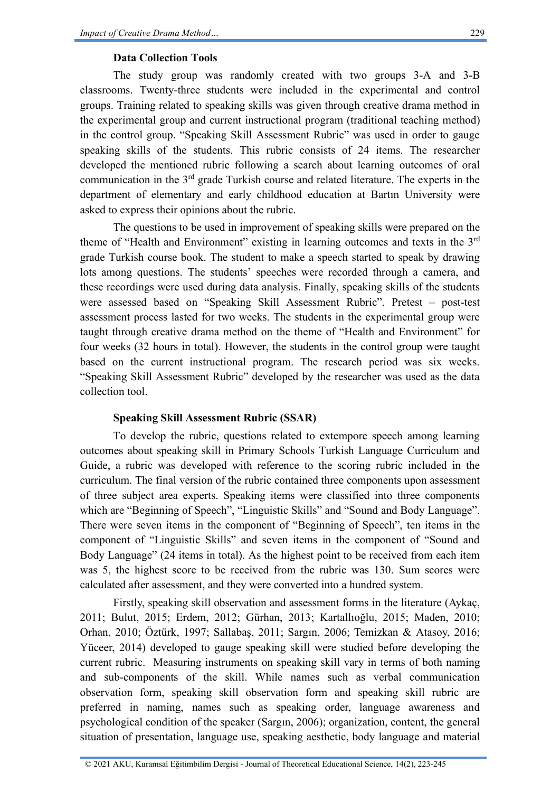### **Data Collection Tools**

The study group was randomly created with two groups 3-A and 3-B classrooms. Twenty-three students were included in the experimental and control groups. Training related to speaking skills was given through creative drama method in the experimental group and current instructional program (traditional teaching method) in the control group. "Speaking Skill Assessment Rubric" was used in order to gauge speaking skills of the students. This rubric consists of 24 items. The researcher developed the mentioned rubric following a search about learning outcomes of oral communication in the 3<sup>rd</sup> grade Turkish course and related literature. The experts in the department of elementary and early childhood education at Bartın University were asked to express their opinions about the rubric.

The questions to be used in improvement of speaking skills were prepared on the theme of "Health and Environment" existing in learning outcomes and texts in the 3<sup>rd</sup> grade Turkish course book. The student to make a speech started to speak by drawing lots among questions. The students' speeches were recorded through a camera, and these recordings were used during data analysis. Finally, speaking skills of the students were assessed based on "Speaking Skill Assessment Rubric". Pretest – post-test assessment process lasted for two weeks. The students in the experimental group were taught through creative drama method on the theme of "Health and Environment" for four weeks (32 hours in total). However, the students in the control group were taught based on the current instructional program. The research period was six weeks. "Speaking Skill Assessment Rubric" developed by the researcher was used as the data collection tool.

## **Speaking Skill Assessment Rubric (SSAR)**

To develop the rubric, questions related to extempore speech among learning outcomes about speaking skill in Primary Schools Turkish Language Curriculum and Guide, a rubric was developed with reference to the scoring rubric included in the curriculum. The final version of the rubric contained three components upon assessment of three subject area experts. Speaking items were classified into three components which are "Beginning of Speech", "Linguistic Skills" and "Sound and Body Language". There were seven items in the component of "Beginning of Speech", ten items in the component of "Linguistic Skills" and seven items in the component of "Sound and Body Language" (24 items in total). As the highest point to be received from each item was 5, the highest score to be received from the rubric was 130. Sum scores were calculated after assessment, and they were converted into a hundred system.

Firstly, speaking skill observation and assessment forms in the literature (Aykaç, 2011; Bulut, 2015; Erdem, 2012; Gürhan, 2013; Kartallıoğlu, 2015; Maden, 2010; Orhan, 2010; Öztürk, 1997; Sallabaş, 2011; Sargın, 2006; Temizkan & Atasoy, 2016; Yüceer, 2014) developed to gauge speaking skill were studied before developing the current rubric. Measuring instruments on speaking skill vary in terms of both naming and sub-components of the skill. While names such as verbal communication observation form, speaking skill observation form and speaking skill rubric are preferred in naming, names such as speaking order, language awareness and psychological condition of the speaker (Sargın, 2006); organization, content, the general situation of presentation, language use, speaking aesthetic, body language and material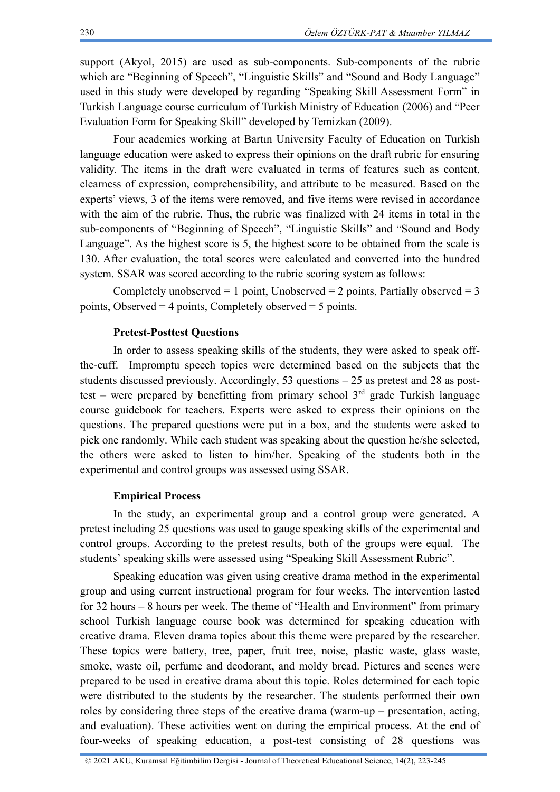support (Akyol, 2015) are used as sub-components. Sub-components of the rubric which are "Beginning of Speech", "Linguistic Skills" and "Sound and Body Language" used in this study were developed by regarding "Speaking Skill Assessment Form" in Turkish Language course curriculum of Turkish Ministry of Education (2006) and "Peer Evaluation Form for Speaking Skill" developed by Temizkan (2009).

Four academics working at Bartın University Faculty of Education on Turkish language education were asked to express their opinions on the draft rubric for ensuring validity. The items in the draft were evaluated in terms of features such as content, clearness of expression, comprehensibility, and attribute to be measured. Based on the experts' views, 3 of the items were removed, and five items were revised in accordance with the aim of the rubric. Thus, the rubric was finalized with 24 items in total in the sub-components of "Beginning of Speech", "Linguistic Skills" and "Sound and Body Language". As the highest score is 5, the highest score to be obtained from the scale is 130. After evaluation, the total scores were calculated and converted into the hundred system. SSAR was scored according to the rubric scoring system as follows:

Completely unobserved  $= 1$  point, Unobserved  $= 2$  points, Partially observed  $= 3$ points, Observed  $=$  4 points, Completely observed  $=$  5 points.

### **Pretest-Posttest Questions**

In order to assess speaking skills of the students, they were asked to speak offthe-cuff. Impromptu speech topics were determined based on the subjects that the students discussed previously. Accordingly, 53 questions – 25 as pretest and 28 as posttest – were prepared by benefitting from primary school  $3<sup>rd</sup>$  grade Turkish language course guidebook for teachers. Experts were asked to express their opinions on the questions. The prepared questions were put in a box, and the students were asked to pick one randomly. While each student was speaking about the question he/she selected, the others were asked to listen to him/her. Speaking of the students both in the experimental and control groups was assessed using SSAR.

### **Empirical Process**

In the study, an experimental group and a control group were generated. A pretest including 25 questions was used to gauge speaking skills of the experimental and control groups. According to the pretest results, both of the groups were equal. The students' speaking skills were assessed using "Speaking Skill Assessment Rubric".

Speaking education was given using creative drama method in the experimental group and using current instructional program for four weeks. The intervention lasted for 32 hours – 8 hours per week. The theme of "Health and Environment" from primary school Turkish language course book was determined for speaking education with creative drama. Eleven drama topics about this theme were prepared by the researcher. These topics were battery, tree, paper, fruit tree, noise, plastic waste, glass waste, smoke, waste oil, perfume and deodorant, and moldy bread. Pictures and scenes were prepared to be used in creative drama about this topic. Roles determined for each topic were distributed to the students by the researcher. The students performed their own roles by considering three steps of the creative drama (warm-up – presentation, acting, and evaluation). These activities went on during the empirical process. At the end of four-weeks of speaking education, a post-test consisting of 28 questions was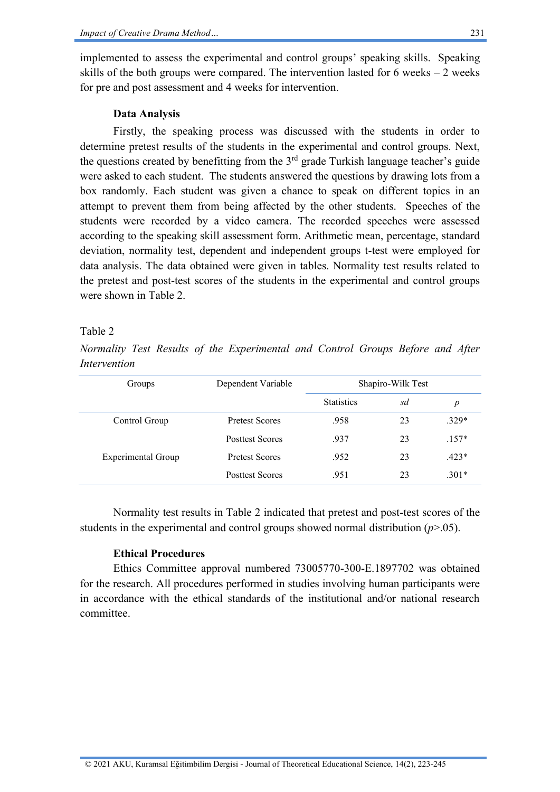implemented to assess the experimental and control groups' speaking skills. Speaking skills of the both groups were compared. The intervention lasted for 6 weeks  $-2$  weeks for pre and post assessment and 4 weeks for intervention.

## **Data Analysis**

Firstly, the speaking process was discussed with the students in order to determine pretest results of the students in the experimental and control groups. Next, the questions created by benefitting from the  $3<sup>rd</sup>$  grade Turkish language teacher's guide were asked to each student. The students answered the questions by drawing lots from a box randomly. Each student was given a chance to speak on different topics in an attempt to prevent them from being affected by the other students. Speeches of the students were recorded by a video camera. The recorded speeches were assessed according to the speaking skill assessment form. Arithmetic mean, percentage, standard deviation, normality test, dependent and independent groups t-test were employed for data analysis. The data obtained were given in tables. Normality test results related to the pretest and post-test scores of the students in the experimental and control groups were shown in Table 2

## Table 2

*Normality Test Results of the Experimental and Control Groups Before and After Intervention*

| Groups                    | Dependent Variable     | Shapiro-Wilk Test |    |                  |
|---------------------------|------------------------|-------------------|----|------------------|
|                           |                        | <b>Statistics</b> | sd | $\boldsymbol{p}$ |
| Control Group             | <b>Pretest Scores</b>  | .958              | 23 | $.329*$          |
|                           | <b>Posttest Scores</b> | .937              | 23 | $.157*$          |
| <b>Experimental Group</b> | <b>Pretest Scores</b>  | .952              | 23 | $.423*$          |
|                           | <b>Posttest Scores</b> | .951              | 23 | $.301*$          |

Normality test results in Table 2 indicated that pretest and post-test scores of the students in the experimental and control groups showed normal distribution (*p*>.05).

## **Ethical Procedures**

Ethics Committee approval numbered 73005770-300-E.1897702 was obtained for the research. All procedures performed in studies involving human participants were in accordance with the ethical standards of the institutional and/or national research committee.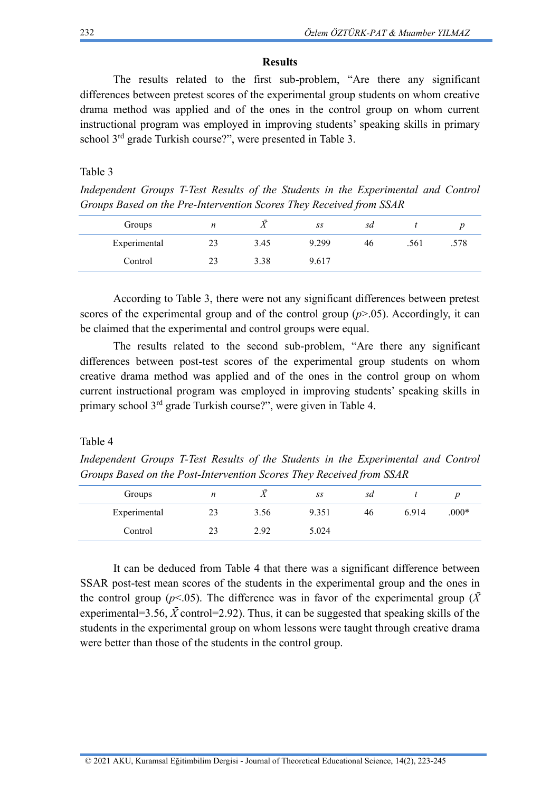#### **Results**

The results related to the first sub-problem, "Are there any significant differences between pretest scores of the experimental group students on whom creative drama method was applied and of the ones in the control group on whom current instructional program was employed in improving students' speaking skills in primary school 3<sup>rd</sup> grade Turkish course?", were presented in Table 3.

#### Table 3

*Independent Groups T-Test Results of the Students in the Experimental and Control Groups Based on the Pre-Intervention Scores They Received from SSAR*

| Groups       | n  | <b>T</b> F | SS    | sd |      |      |
|--------------|----|------------|-------|----|------|------|
| Experimental | 23 | 3.45       | 9.299 | 46 | .561 | .578 |
| Control      | 23 | 3.38       | 9.617 |    |      |      |

According to Table 3, there were not any significant differences between pretest scores of the experimental group and of the control group  $(p>0.05)$ . Accordingly, it can be claimed that the experimental and control groups were equal.

The results related to the second sub-problem, "Are there any significant differences between post-test scores of the experimental group students on whom creative drama method was applied and of the ones in the control group on whom current instructional program was employed in improving students' speaking skills in primary school 3rd grade Turkish course?", were given in Table 4.

### Table 4

*Independent Groups T-Test Results of the Students in the Experimental and Control Groups Based on the Post-Intervention Scores They Received from SSAR*

| Groups       | n  | τZ<br>$\lambda$ | SS    | sd |       |         |
|--------------|----|-----------------|-------|----|-------|---------|
| Experimental | 23 | 3.56            | 9.351 | 46 | 6.914 | $.000*$ |
| Control      | 23 | 2.92            | 5.024 |    |       |         |

It can be deduced from Table 4 that there was a significant difference between SSAR post-test mean scores of the students in the experimental group and the ones in the control group ( $p$ <.05). The difference was in favor of the experimental group ( $\bar{X}$ experimental=3.56,  $\bar{X}$  control=2.92). Thus, it can be suggested that speaking skills of the students in the experimental group on whom lessons were taught through creative drama were better than those of the students in the control group.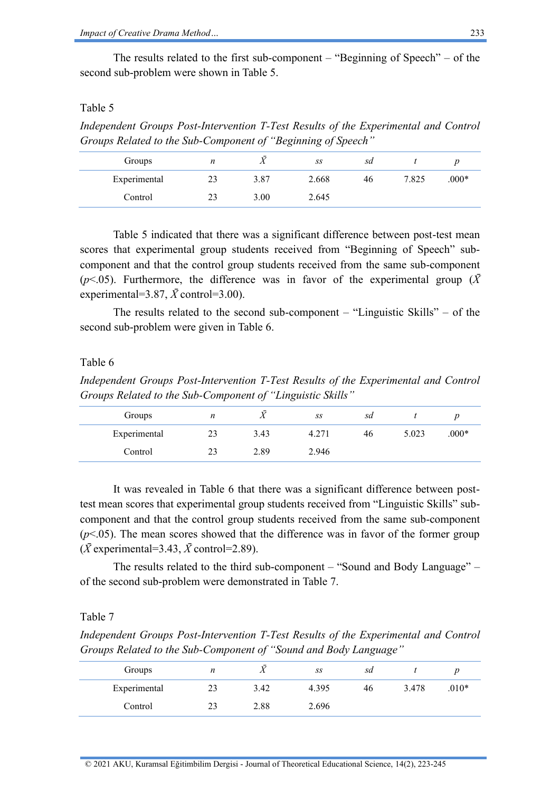The results related to the first sub-component – "Beginning of Speech" – of the second sub-problem were shown in Table 5.

### Table 5

*Independent Groups Post-Intervention T-Test Results of the Experimental and Control Groups Related to the Sub-Component of "Beginning of Speech"*

| Groups       | n  | $\overline{ }$ | SS    | sd |       |         |
|--------------|----|----------------|-------|----|-------|---------|
| Experimental | 23 | 3.87           | 2.668 | 46 | 7.825 | $.000*$ |
| Control      | 23 | 3.00           | 2.645 |    |       |         |

Table 5 indicated that there was a significant difference between post-test mean scores that experimental group students received from "Beginning of Speech" subcomponent and that the control group students received from the same sub-component ( $p$ <.05). Furthermore, the difference was in favor of the experimental group ( $\bar{X}$ experimental=3.87,  $\bar{X}$  control=3.00).

The results related to the second sub-component  $-$  "Linguistic Skills"  $-$  of the second sub-problem were given in Table 6.

#### Table 6

*Independent Groups Post-Intervention T-Test Results of the Experimental and Control Groups Related to the Sub-Component of "Linguistic Skills"*

| Groups       | n  | T.<br>Λ | SS    | sd |       |         |
|--------------|----|---------|-------|----|-------|---------|
| Experimental | 23 | 3.43    | 4.271 | 46 | 5.023 | $.000*$ |
| Control      | 23 | 2.89    | 2.946 |    |       |         |

It was revealed in Table 6 that there was a significant difference between posttest mean scores that experimental group students received from "Linguistic Skills" subcomponent and that the control group students received from the same sub-component  $(p<.05)$ . The mean scores showed that the difference was in favor of the former group  $(\bar{X}$  experimental=3.43,  $\bar{X}$  control=2.89).

The results related to the third sub-component – "Sound and Body Language" – of the second sub-problem were demonstrated in Table 7.

### Table 7

*Independent Groups Post-Intervention T-Test Results of the Experimental and Control Groups Related to the Sub-Component of "Sound and Body Language"*

| Groups       | n  | ᠇ᡔ<br>Λ | SS    | sd |       |         |
|--------------|----|---------|-------|----|-------|---------|
| Experimental | 23 | 3.42    | 4.395 | 46 | 3.478 | $.010*$ |
| Control      | 23 | 2.88    | 2.696 |    |       |         |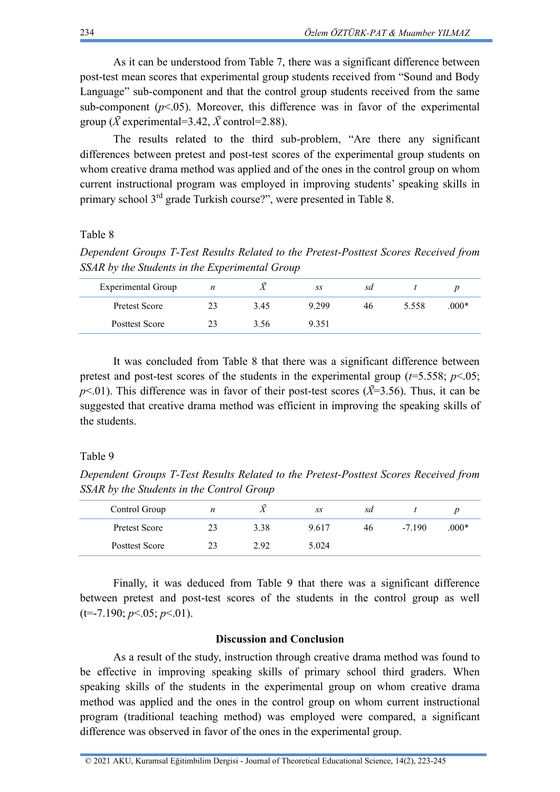As it can be understood from Table 7, there was a significant difference between post-test mean scores that experimental group students received from "Sound and Body Language" sub-component and that the control group students received from the same sub-component  $(p<.05)$ . Moreover, this difference was in favor of the experimental group ( $\bar{X}$  experimental=3.42,  $\bar{X}$  control=2.88).

The results related to the third sub-problem, "Are there any significant differences between pretest and post-test scores of the experimental group students on whom creative drama method was applied and of the ones in the control group on whom current instructional program was employed in improving students' speaking skills in primary school 3rd grade Turkish course?", were presented in Table 8.

### Table 8

*Dependent Groups T-Test Results Related to the Pretest-Posttest Scores Received from SSAR by the Students in the Experimental Group*

| Experimental Group   | n  |      | SS      | sd |       |         |
|----------------------|----|------|---------|----|-------|---------|
| <b>Pretest Score</b> | 23 | 3.45 | 9 2 9 9 | 46 | 5.558 | $.000*$ |
| Posttest Score       | 23 | 3.56 | 9 3 5 1 |    |       |         |

It was concluded from Table 8 that there was a significant difference between pretest and post-test scores of the students in the experimental group  $(t=5.558; p<.05;$  $p$ <.01). This difference was in favor of their post-test scores ( $\bar{X}$ =3.56). Thus, it can be suggested that creative drama method was efficient in improving the speaking skills of the students.

#### Table 9

*Dependent Groups T-Test Results Related to the Pretest-Posttest Scores Received from SSAR by the Students in the Control Group*

| Control Group  | n  | $\overline{ }$ | SS    | sd |         |         |
|----------------|----|----------------|-------|----|---------|---------|
| Pretest Score  | 23 | 3.38           | 9.617 | 46 | $-7190$ | $.000*$ |
| Posttest Score | 23 | 2.92           | 5.024 |    |         |         |

Finally, it was deduced from Table 9 that there was a significant difference between pretest and post-test scores of the students in the control group as well (t=-7.190; *p*<.05; *p*<.01).

### **Discussion and Conclusion**

As a result of the study, instruction through creative drama method was found to be effective in improving speaking skills of primary school third graders. When speaking skills of the students in the experimental group on whom creative drama method was applied and the ones in the control group on whom current instructional program (traditional teaching method) was employed were compared, a significant difference was observed in favor of the ones in the experimental group.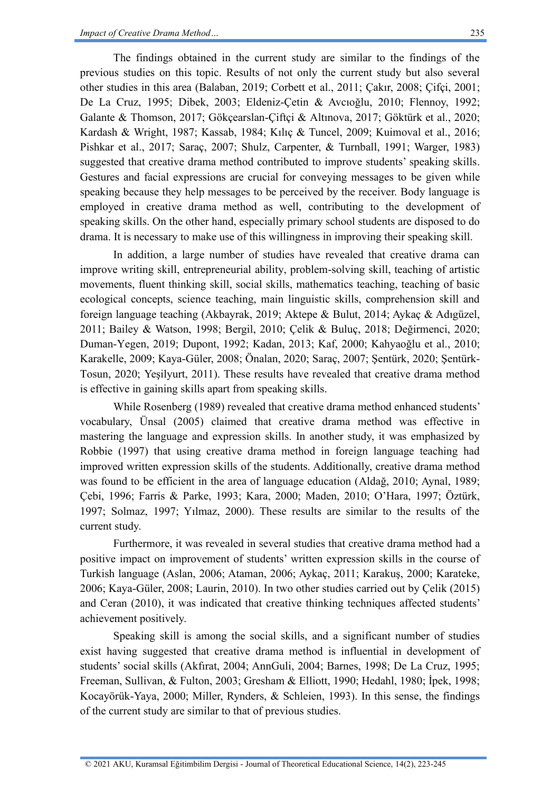The findings obtained in the current study are similar to the findings of the previous studies on this topic. Results of not only the current study but also several other studies in this area (Balaban, 2019; Corbett et al., 2011; Çakır, 2008; Çifçi, 2001; De La Cruz, 1995; Dibek, 2003; Eldeniz-Çetin & Avcıoğlu, 2010; Flennoy, 1992; Galante & Thomson, 2017; Gökçearslan-Çiftçi & Altınova, 2017; Göktürk et al., 2020; Kardash & Wright, 1987; Kassab, 1984; Kılıç & Tuncel, 2009; Kuimoval et al., 2016; Pishkar et al., 2017; Saraç, 2007; Shulz, Carpenter, & Turnball, 1991; Warger, 1983) suggested that creative drama method contributed to improve students' speaking skills. Gestures and facial expressions are crucial for conveying messages to be given while speaking because they help messages to be perceived by the receiver. Body language is employed in creative drama method as well, contributing to the development of speaking skills. On the other hand, especially primary school students are disposed to do drama. It is necessary to make use of this willingness in improving their speaking skill.

In addition, a large number of studies have revealed that creative drama can improve writing skill, entrepreneurial ability, problem-solving skill, teaching of artistic movements, fluent thinking skill, social skills, mathematics teaching, teaching of basic ecological concepts, science teaching, main linguistic skills, comprehension skill and foreign language teaching (Akbayrak, 2019; Aktepe & Bulut, 2014; Aykaç & Adıgüzel, 2011; Bailey & Watson, 1998; Bergil, 2010; Çelik & Buluç, 2018; Değirmenci, 2020; Duman-Yegen, 2019; Dupont, 1992; Kadan, 2013; Kaf, 2000; Kahyaoğlu et al., 2010; Karakelle, 2009; Kaya-Güler, 2008; Önalan, 2020; Saraç, 2007; Şentürk, 2020; Şentürk-Tosun, 2020; Yeşilyurt, 2011). These results have revealed that creative drama method is effective in gaining skills apart from speaking skills.

While Rosenberg (1989) revealed that creative drama method enhanced students' vocabulary, Ünsal (2005) claimed that creative drama method was effective in mastering the language and expression skills. In another study, it was emphasized by Robbie (1997) that using creative drama method in foreign language teaching had improved written expression skills of the students. Additionally, creative drama method was found to be efficient in the area of language education (Aldağ, 2010; Aynal, 1989; Çebi, 1996; Farris & Parke, 1993; Kara, 2000; Maden, 2010; O'Hara, 1997; Öztürk, 1997; Solmaz, 1997; Yılmaz, 2000). These results are similar to the results of the current study.

Furthermore, it was revealed in several studies that creative drama method had a positive impact on improvement of students' written expression skills in the course of Turkish language (Aslan, 2006; Ataman, 2006; Aykaç, 2011; Karakuş, 2000; Karateke, 2006; Kaya-Güler, 2008; Laurin, 2010). In two other studies carried out by Çelik (2015) and Ceran (2010), it was indicated that creative thinking techniques affected students' achievement positively.

Speaking skill is among the social skills, and a significant number of studies exist having suggested that creative drama method is influential in development of students' social skills (Akfırat, 2004; AnnGuli, 2004; Barnes, 1998; De La Cruz, 1995; Freeman, Sullivan, & Fulton, 2003; Gresham & Elliott, 1990; Hedahl, 1980; İpek, 1998; Kocayörük-Yaya, 2000; Miller, Rynders, & Schleien, 1993). In this sense, the findings of the current study are similar to that of previous studies.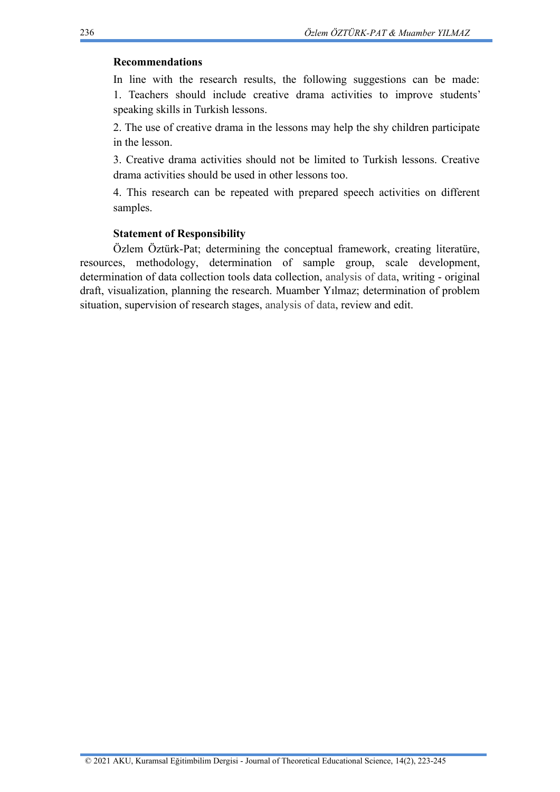## **Recommendations**

In line with the research results, the following suggestions can be made: 1. Teachers should include creative drama activities to improve students' speaking skills in Turkish lessons.

2. The use of creative drama in the lessons may help the shy children participate in the lesson.

3. Creative drama activities should not be limited to Turkish lessons. Creative drama activities should be used in other lessons too.

4. This research can be repeated with prepared speech activities on different samples.

## **Statement of Responsibility**

Özlem Öztürk-Pat; determining the conceptual framework, creating literatüre, resources, methodology, determination of sample group, scale development, determination of data collection tools data collection, analysis of data, writing - original draft, visualization, planning the research. Muamber Yılmaz; determination of problem situation, supervision of research stages, analysis of data, review and edit.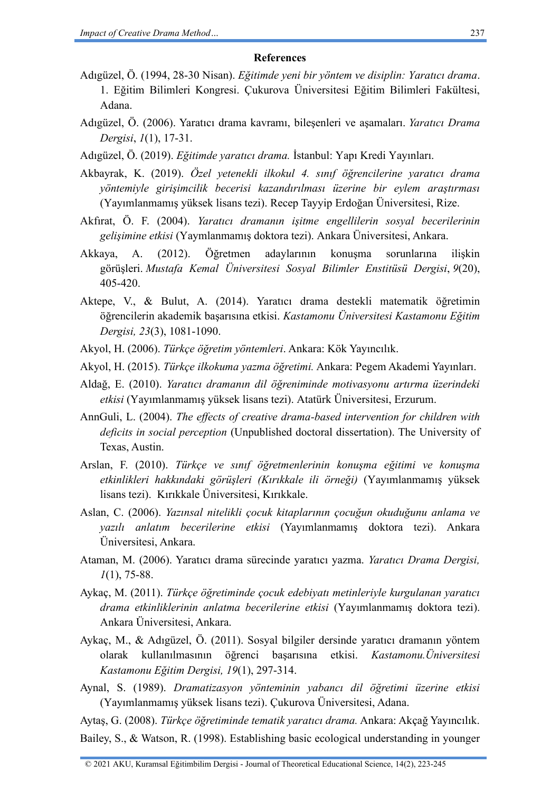### **References**

- Adıgüzel, Ö. (1994, 28-30 Nisan). *Eğitimde yeni bir yöntem ve disiplin: Yaratıcı drama*. 1. Eğitim Bilimleri Kongresi. Çukurova Üniversitesi Eğitim Bilimleri Fakültesi, Adana.
- Adıgüzel, Ö. (2006). Yaratıcı drama kavramı, bileşenleri ve aşamaları. *Yaratıcı Drama Dergisi*, *1*(1), 17-31.
- Adıgüzel, Ö. (2019). *Eğitimde yaratıcı drama.* İstanbul: Yapı Kredi Yayınları.
- Akbayrak, K. (2019). *Özel yetenekli ilkokul 4. sınıf öğrencilerine yaratıcı drama yöntemiyle girişimcilik becerisi kazandırılması üzerine bir eylem araştırması* (Yayımlanmamış yüksek lisans tezi). Recep Tayyip Erdoğan Üniversitesi, Rize.
- Akfırat, Ö. F. (2004). *Yaratıcı dramanın işitme engellilerin sosyal becerilerinin gelişimine etkisi* (Yaymlanmamış doktora tezi). Ankara Üniversitesi, Ankara.
- Akkaya, A. (2012). Öğretmen adaylarının konuşma sorunlarına ilişkin görüşleri. *Mustafa Kemal Üniversitesi Sosyal Bilimler Enstitüsü Dergisi*, *9*(20), 405-420.
- Aktepe, V., & Bulut, A. (2014). Yaratıcı drama destekli matematik öğretimin öğrencilerin akademik başarısına etkisi. *Kastamonu Üniversitesi Kastamonu Eğitim Dergisi, 23*(3), 1081-1090.
- Akyol, H. (2006). *Türkçe öğretim yöntemleri*. Ankara: Kök Yayıncılık.
- Akyol, H. (2015). *Türkçe ilkokuma yazma öğretimi.* Ankara: Pegem Akademi Yayınları.
- Aldağ, E. (2010). *Yaratıcı dramanın dil öğreniminde motivasyonu artırma üzerindeki etkisi* (Yayımlanmamış yüksek lisans tezi). Atatürk Üniversitesi, Erzurum.
- AnnGuli, L. (2004). *The effects of creative drama-based intervention for children with deficits in social perception* (Unpublished doctoral dissertation). The University of Texas, Austin.
- Arslan, F. (2010). *Türkçe ve sınıf öğretmenlerinin konuşma eğitimi ve konuşma etkinlikleri hakkındaki görüşleri (Kırıkkale ili örneği)* (Yayımlanmamış yüksek lisans tezi). Kırıkkale Üniversitesi, Kırıkkale.
- Aslan, C. (2006). *Yazınsal nitelikli çocuk kitaplarının çocuğun okuduğunu anlama ve yazılı anlatım becerilerine etkisi* (Yayımlanmamış doktora tezi). Ankara Üniversitesi, Ankara.
- Ataman, M. (2006). Yaratıcı drama sürecinde yaratıcı yazma. *Yaratıcı Drama Dergisi, 1*(1), 75-88.
- Aykaç, M. (2011). *Türkçe öğretiminde çocuk edebiyatı metinleriyle kurgulanan yaratıcı drama etkinliklerinin anlatma becerilerine etkisi* (Yayımlanmamış doktora tezi). Ankara Üniversitesi, Ankara.
- Aykaç, M., & Adıgüzel, Ö. (2011). Sosyal bilgiler dersinde yaratıcı dramanın yöntem olarak kullanılmasının öğrenci başarısına etkisi. *Kastamonu.Üniversitesi Kastamonu Eğitim Dergisi, 19*(1), 297-314.
- Aynal, S. (1989). *Dramatizasyon yönteminin yabancı dil öğretimi üzerine etkisi* (Yayımlanmamış yüksek lisans tezi). Çukurova Üniversitesi, Adana.

Aytaş, G. (2008). *Türkçe öğretiminde tematik yaratıcı drama.* Ankara: Akçağ Yayıncılık. Bailey, S., & Watson, R. (1998). Establishing basic ecological understanding in younger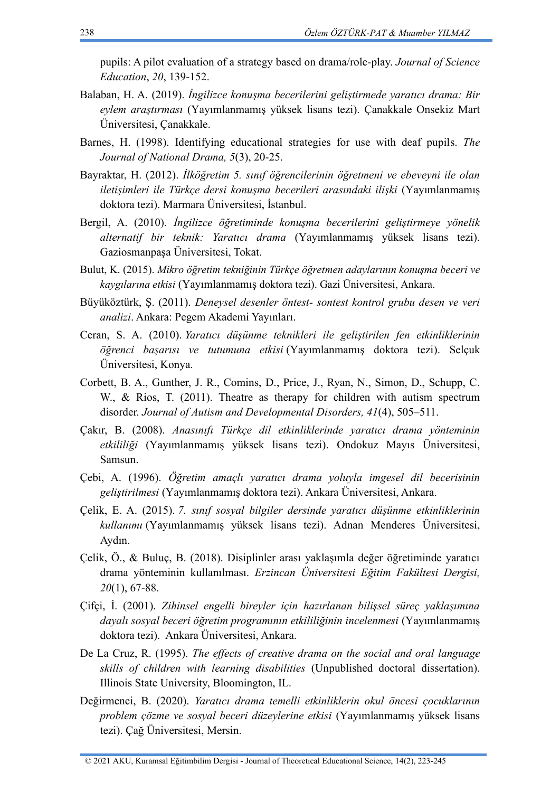pupils: A pilot evaluation of a strategy based on drama/role-play. *Journal of Science Education*, *20*, 139-152.

- Balaban, H. A. (2019). *İngilizce konuşma becerilerini geliştirmede yaratıcı drama: Bir eylem araştırması* (Yayımlanmamış yüksek lisans tezi). Çanakkale Onsekiz Mart Üniversitesi, Çanakkale.
- Barnes, H. (1998). Identifying educational strategies for use with deaf pupils. *The Journal of National Drama, 5*(3), 20-25.
- Bayraktar, H. (2012). *İlköğretim 5. sınıf öğrencilerinin öğretmeni ve ebeveyni ile olan iletişimleri ile Türkçe dersi konuşma becerileri arasındaki ilişki* (Yayımlanmamış doktora tezi). Marmara Üniversitesi, İstanbul.
- Bergil, A. (2010). *İngilizce öğretiminde konuşma becerilerini geliştirmeye yönelik alternatif bir teknik: Yaratıcı drama* (Yayımlanmamış yüksek lisans tezi). Gaziosmanpaşa Üniversitesi, Tokat.
- Bulut, K. (2015). *Mikro öğretim tekniğinin Türkçe öğretmen adaylarının konuşma beceri ve kaygılarına etkisi* (Yayımlanmamış doktora tezi). Gazi Üniversitesi, Ankara.
- Büyüköztürk, Ş. (2011). *Deneysel desenler öntest- sontest kontrol grubu desen ve veri analizi*. Ankara: Pegem Akademi Yayınları.
- Ceran, S. A. (2010). *Yaratıcı düşünme teknikleri ile geliştirilen fen etkinliklerinin öğrenci başarısı ve tutumuna etkisi* (Yayımlanmamış doktora tezi). Selçuk Üniversitesi, Konya.
- Corbett, B. A., Gunther, J. R., Comins, D., Price, J., Ryan, N., Simon, D., Schupp, C. W., & Rios, T. (2011). Theatre as therapy for children with autism spectrum disorder. *Journal of Autism and Developmental Disorders, 41*(4), 505–511.
- Çakır, B. (2008). *Anasınıfı Türkçe dil etkinliklerinde yaratıcı drama yönteminin etkililiği* (Yayımlanmamış yüksek lisans tezi). Ondokuz Mayıs Üniversitesi, Samsun.
- Çebi, A. (1996). *Öğretim amaçlı yaratıcı drama yoluyla imgesel dil becerisinin geliştirilmesi* (Yayımlanmamış doktora tezi). Ankara Üniversitesi, Ankara.
- Çelik, E. A. (2015). *7. sınıf sosyal bilgiler dersinde yaratıcı düşünme etkinliklerinin kullanımı* (Yayımlanmamış yüksek lisans tezi). Adnan Menderes Üniversitesi, Aydın.
- Çelik, Ö., & Buluç, B. (2018). Disiplinler arası yaklaşımla değer öğretiminde yaratıcı drama yönteminin kullanılması. *Erzincan Üniversitesi Eğitim Fakültesi Dergisi, 20*(1), 67-88.
- Çifçi, İ. (2001). *Zihinsel engelli bireyler için hazırlanan bilişsel süreç yaklaşımına dayalı sosyal beceri öğretim programının etkililiğinin incelenmesi* (Yayımlanmamış doktora tezi). Ankara Üniversitesi, Ankara.
- De La Cruz, R. (1995). *The effects of creative drama on the social and oral language skills of children with learning disabilities* (Unpublished doctoral dissertation). Illinois State University, Bloomington, IL.
- Değirmenci, B. (2020). *Yaratıcı drama temelli etkinliklerin okul öncesi çocuklarının problem çözme ve sosyal beceri düzeylerine etkisi* (Yayımlanmamış yüksek lisans tezi). Çağ Üniversitesi, Mersin.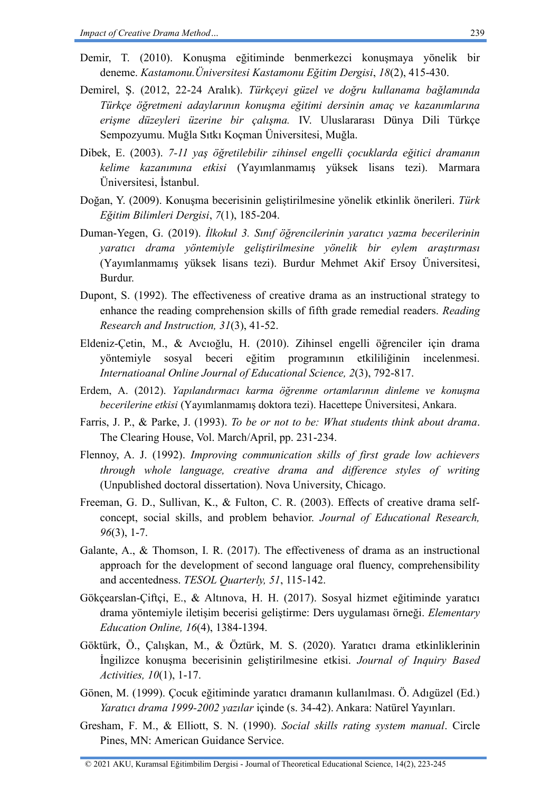- Demir, T. (2010). Konuşma eğitiminde benmerkezci konuşmaya yönelik bir deneme. *Kastamonu.Üniversitesi Kastamonu Eğitim Dergisi*, *18*(2), 415-430.
- Demirel, Ş. (2012, 22-24 Aralık). *Türkçeyi güzel ve doğru kullanama bağlamında Türkçe öğretmeni adaylarının konuşma eğitimi dersinin amaç ve kazanımlarına erişme düzeyleri üzerine bir çalışma.* IV. Uluslararası Dünya Dili Türkçe Sempozyumu. Muğla Sıtkı Koçman Üniversitesi, Muğla.
- Dibek, E. (2003). *7-11 yaş öğretilebilir zihinsel engelli çocuklarda eğitici dramanın kelime kazanımına etkisi* (Yayımlanmamış yüksek lisans tezi). Marmara Üniversitesi, İstanbul.
- Doğan, Y. (2009). Konuşma becerisinin geliştirilmesine yönelik etkinlik önerileri. *Türk Eğitim Bilimleri Dergisi*, *7*(1), 185-204.
- Duman-Yegen, G. (2019). *İlkokul 3. Sınıf öğrencilerinin yaratıcı yazma becerilerinin yaratıcı drama yöntemiyle geliştirilmesine yönelik bir eylem araştırması* (Yayımlanmamış yüksek lisans tezi). Burdur Mehmet Akif Ersoy Üniversitesi, Burdur.
- Dupont, S. (1992). The effectiveness of creative drama as an instructional strategy to enhance the reading comprehension skills of fifth grade remedial readers. *Reading Research and Instruction, 31*(3), 41-52.
- Eldeniz-Çetin, M., & Avcıoğlu, H. (2010). Zihinsel engelli öğrenciler için drama yöntemiyle sosyal beceri eğitim programının etkililiğinin incelenmesi. *Internatioanal Online Journal of Educational Science, 2*(3), 792-817.
- Erdem, A. (2012). *Yapılandırmacı karma öğrenme ortamlarının dinleme ve konuşma becerilerine etkisi* (Yayımlanmamış doktora tezi). Hacettepe Üniversitesi, Ankara.
- Farris, J. P., & Parke, J. (1993). *To be or not to be: What students think about drama*. The Clearing House, Vol. March/April, pp. 231-234.
- Flennoy, A. J. (1992). *Improving communication skills of first grade low achievers through whole language, creative drama and difference styles of writing* (Unpublished doctoral dissertation). Nova University, Chicago.
- Freeman, G. D., Sullivan, K., & Fulton, C. R. (2003). Effects of creative drama selfconcept, social skills, and problem behavior. *Journal of Educational Research, 96*(3), 1-7.
- Galante, A., & Thomson, I. R. (2017). The effectiveness of drama as an instructional approach for the development of second language oral fluency, comprehensibility and accentedness. *TESOL Quarterly, 51*, 115-142.
- Gökçearslan-Çiftçi, E., & Altınova, H. H. (2017). Sosyal hizmet eğitiminde yaratıcı drama yöntemiyle iletişim becerisi geliştirme: Ders uygulaması örneği. *Elementary Education Online, 16*(4), 1384-1394.
- Göktürk, Ö., Çalışkan, M., & Öztürk, M. S. (2020). Yaratıcı drama etkinliklerinin İngilizce konuşma becerisinin geliştirilmesine etkisi. *Journal of Inquiry Based Activities, 10*(1), 1-17.
- Gönen, M. (1999). Çocuk eğitiminde yaratıcı dramanın kullanılması. Ö. Adıgüzel (Ed.) *Yaratıcı drama 1999-2002 yazılar* içinde (s. 34-42). Ankara: Natürel Yayınları.
- Gresham, F. M., & Elliott, S. N. (1990). *Social skills rating system manual*. Circle Pines, MN: American Guidance Service.

© 2021 AKU, Kuramsal Eğitimbilim Dergisi - Journal of Theoretical Educational Science, 14(2), 223-245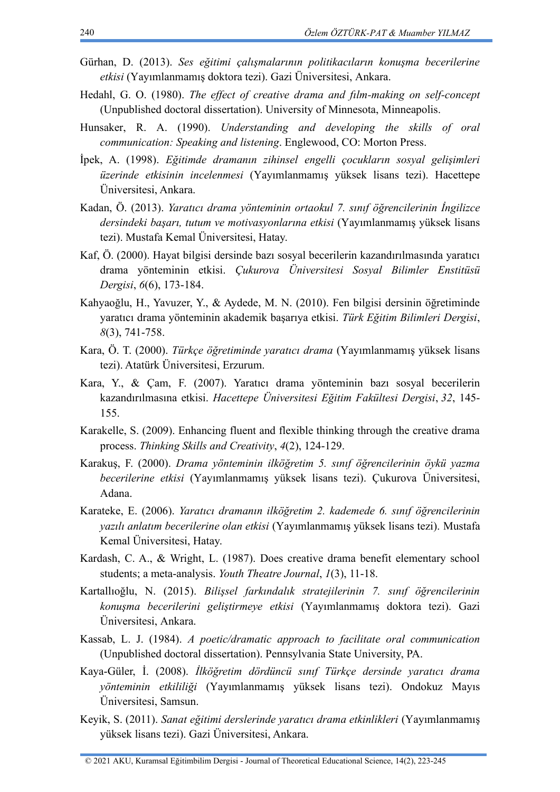- Gürhan, D. (2013). *Ses eğitimi çalışmalarının politikacıların konuşma becerilerine etkisi* (Yayımlanmamış doktora tezi). Gazi Üniversitesi, Ankara.
- Hedahl, G. O. (1980). *The effect of creative drama and fılm-making on self-concept* (Unpublished doctoral dissertation). University of Minnesota, [Minneapolis.](https://tr.wikipedia.org/wiki/Minneapolis)
- Hunsaker, R. A. (1990). *Understanding and developing the skills of oral communication: Speaking and listening*. Englewood, CO: Morton Press.
- İpek, A. (1998). *Eğitimde dramanın zihinsel engelli çocukların sosyal gelişimleri üzerinde etkisinin incelenmesi* (Yayımlanmamış yüksek lisans tezi). Hacettepe Üniversitesi, Ankara.
- Kadan, Ö. (2013). *Yaratıcı drama yönteminin ortaokul 7. sınıf öğrencilerinin İngilizce dersindeki başarı, tutum ve motivasyonlarına etkisi* (Yayımlanmamış yüksek lisans tezi). Mustafa Kemal Üniversitesi, Hatay.
- Kaf, Ö. (2000). Hayat bilgisi dersinde bazı sosyal becerilerin kazandırılmasında yaratıcı drama yönteminin etkisi. *Çukurova Üniversitesi Sosyal Bilimler Enstitüsü Dergisi*, *6*(6), 173-184.
- Kahyaoğlu, H., Yavuzer, Y., & Aydede, M. N. (2010). Fen bilgisi dersinin öğretiminde yaratıcı drama yönteminin akademik başarıya etkisi. *Türk Eğitim Bilimleri Dergisi*, *8*(3), 741-758.
- Kara, Ö. T. (2000). *Türkçe öğretiminde yaratıcı drama* (Yayımlanmamış yüksek lisans tezi). Atatürk Üniversitesi, Erzurum.
- Kara, Y., & Çam, F. (2007). Yaratıcı drama yönteminin bazı sosyal becerilerin kazandırılmasına etkisi. *Hacettepe Üniversitesi Eğitim Fakültesi Dergisi*, *32*, 145- 155.
- Karakelle, S. (2009). Enhancing fluent and flexible thinking through the creative drama process. *Thinking Skills and Creativity*, *4*(2), 124-129.
- Karakuş, F. (2000). *Drama yönteminin ilköğretim 5. sınıf öğrencilerinin öykü yazma becerilerine etkisi* (Yayımlanmamış yüksek lisans tezi). Çukurova Üniversitesi, Adana.
- Karateke, E. (2006). *Yaratıcı dramanın ilköğretim 2. kademede 6. sınıf öğrencilerinin yazılı anlatım becerilerine olan etkisi* (Yayımlanmamış yüksek lisans tezi). Mustafa Kemal Üniversitesi, Hatay.
- Kardash, C. A., & Wright, L. (1987). Does creative drama benefit elementary school students; a meta-analysis. *Youth Theatre Journal*, *1*(3), 11-18.
- Kartallıoğlu, N. (2015). *Bilişsel farkındalık stratejilerinin 7. sınıf öğrencilerinin konuşma becerilerini geliştirmeye etkisi* (Yayımlanmamış doktora tezi). Gazi Üniversitesi, Ankara.
- Kassab, L. J. (1984). *A poetic/dramatic approach to facilitate oral communication*  (Unpublished doctoral dissertation). Pennsylvania State University, PA.
- Kaya-Güler, İ. (2008). *İlköğretim dördüncü sınıf Türkçe dersinde yaratıcı drama yönteminin etkililiği* (Yayımlanmamış yüksek lisans tezi). Ondokuz Mayıs Üniversitesi, Samsun.
- Keyik, S. (2011). *Sanat eğitimi derslerinde yaratıcı drama etkinlikleri* (Yayımlanmamış yüksek lisans tezi). Gazi Üniversitesi, Ankara.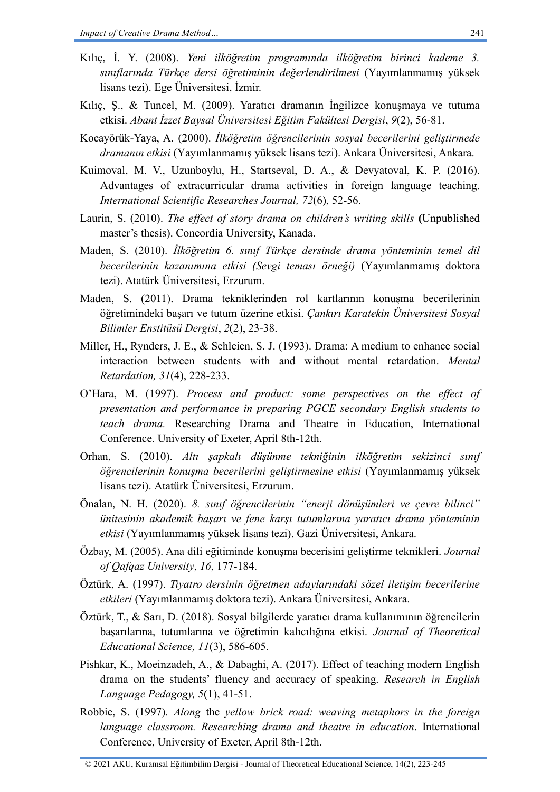- Kılıç, İ. Y. (2008). *Yeni ilköğretim programında ilköğretim birinci kademe 3. sınıflarında Türkçe dersi öğretiminin değerlendirilmesi* (Yayımlanmamış yüksek lisans tezi). Ege Üniversitesi, İzmir.
- Kılıç, Ş., & Tuncel, M. (2009). Yaratıcı dramanın İngilizce konuşmaya ve tutuma etkisi. *Abant İzzet Baysal Üniversitesi Eğitim Fakültesi Dergisi*, *9*(2), 56-81.
- Kocayörük-Yaya, A. (2000). *İlköğretim öğrencilerinin sosyal becerilerini geliştirmede dramanın etkisi* (Yayımlanmamış yüksek lisans tezi). Ankara Üniversitesi, Ankara.
- Kuimoval, M. V., Uzunboylu, H., Startseval, D. A., & Devyatoval, K. P. (2016). Advantages of extracurricular drama activities in foreign language teaching. *International Scientific Researches Journal, 72*(6), 52-56.
- Laurin, S. (2010). *The effect of story drama on children's writing skills* **(**Unpublished master's thesis). Concordia University, Kanada.
- Maden, S. (2010). *İlköğretim 6. sınıf Türkçe dersinde drama yönteminin temel dil becerilerinin kazanımına etkisi (Sevgi teması örneği)* (Yayımlanmamış doktora tezi). Atatürk Üniversitesi, Erzurum.
- Maden, S. (2011). Drama tekniklerinden rol kartlarının konuşma becerilerinin öğretimindeki başarı ve tutum üzerine etkisi. *Çankırı Karatekin Üniversitesi Sosyal Bilimler Enstitüsü Dergisi*, *2*(2), 23-38.
- Miller, H., Rynders, J. E., & Schleien, S. J. (1993). Drama: A medium to enhance social interaction between students with and without mental retardation. *Mental Retardation, 31*(4), 228-233.
- O'Hara, M. (1997). *Process and product: some perspectives on the effect of presentation and performance in preparing PGCE secondary English students to teach drama.* Researching Drama and Theatre in Education, International Conference. University of Exeter, April 8th-12th.
- Orhan, S. (2010). *Altı şapkalı düşünme tekniğinin ilköğretim sekizinci sınıf öğrencilerinin konuşma becerilerini geliştirmesine etkisi* (Yayımlanmamış yüksek lisans tezi). Atatürk Üniversitesi, Erzurum.
- Önalan, N. H. (2020). *8. sınıf öğrencilerinin "enerji dönüşümleri ve çevre bilinci" ünitesinin akademik başarı ve fene karşı tutumlarına yaratıcı drama yönteminin etkisi* (Yayımlanmamış yüksek lisans tezi). Gazi Üniversitesi, Ankara.
- Özbay, M. (2005). Ana dili eğitiminde konuşma becerisini geliştirme teknikleri. *Journal of Qafqaz University*, *16*, 177-184.
- Öztürk, A. (1997). *Tiyatro dersinin öğretmen adaylarındaki sözel iletişim becerilerine etkileri* (Yayımlanmamış doktora tezi). Ankara Üniversitesi, Ankara.
- Öztürk, T., & Sarı, D. (2018). Sosyal bilgilerde yaratıcı drama kullanımının öğrencilerin başarılarına, tutumlarına ve öğretimin kalıcılığına etkisi. *Journal of Theoretical Educational Science, 11*(3), 586-605.
- Pishkar, K., Moeinzadeh, A., & Dabaghi, A. (2017). Effect of teaching modern English drama on the students' fluency and accuracy of speaking. *Research in English Language Pedagogy, 5*(1), 41-51.
- Robbie, S. (1997). *Along* the *yellow brick road: weaving metaphors in the foreign language classroom. Researching drama and theatre in education*. International Conference, University of Exeter, April 8th-12th.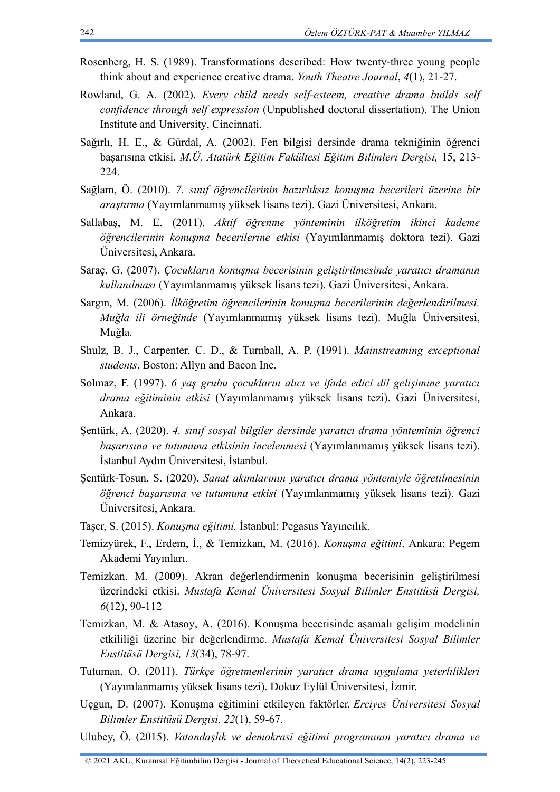- Rosenberg, H. S. (1989). Transformations described: How twenty-three young people think about and experience creative drama. *Youth Theatre Journal*, *4*(1), 21-27.
- Rowland, G. A. (2002). *Every child needs self-esteem, creative drama builds self confidence through self expression* (Unpublished doctoral dissertation). The Union Institute and University, Cincinnati.
- Sağırlı, H. E., & Gürdal, A. (2002). Fen bilgisi dersinde drama tekniğinin öğrenci başarısına etkisi. *M.Ü. Atatürk Eğitim Fakültesi Eğitim Bilimleri Dergisi,* 15, 213- 224.
- Sağlam, Ö. (2010). *7. sınıf öğrencilerinin hazırlıksız konuşma becerileri üzerine bir araştırma* (Yayımlanmamış yüksek lisans tezi). Gazi Üniversitesi, Ankara.
- Sallabaş, M. E. (2011). *Aktif öğrenme yönteminin ilköğretim ikinci kademe öğrencilerinin konuşma becerilerine etkisi* (Yayımlanmamış doktora tezi). Gazi Üniversitesi, Ankara.
- Saraç, G. (2007). *Çocukların konuşma becerisinin geliştirilmesinde yaratıcı dramanın kullanılması* (Yayımlanmamış yüksek lisans tezi). Gazi Üniversitesi, Ankara.
- Sargın, M. (2006). *İlköğretim öğrencilerinin konuşma becerilerinin değerlendirilmesi. Muğla ili örneğinde* (Yayımlanmamış yüksek lisans tezi). Muğla Üniversitesi, Muğla.
- Shulz, B. J., Carpenter, C. D., & Turnball, A. P. (1991). *Mainstreaming exceptional students*. Boston: Allyn and Bacon Inc.
- Solmaz, F. (1997). *6 yaş grubu çocukların alıcı ve ifade edici dil gelişimine yaratıcı drama eğitiminin etkisi* (Yayımlanmamış yüksek lisans tezi). Gazi Üniversitesi, Ankara.
- Şentürk, A. (2020). *4. sınıf sosyal bilgiler dersinde yaratıcı drama yönteminin öğrenci başarısına ve tutumuna etkisinin incelenmesi* (Yayımlanmamış yüksek lisans tezi). İstanbul Aydın Üniversitesi, İstanbul.
- Şentürk-Tosun, S. (2020). *Sanat akımlarının yaratıcı drama yöntemiyle öğretilmesinin öğrenci başarısına ve tutumuna etkisi* (Yayımlanmamış yüksek lisans tezi). Gazi Üniversitesi, Ankara.
- Taşer, S. (2015). *Konuşma eğitimi.* İstanbul: Pegasus Yayıncılık.
- Temizyürek, F., Erdem, İ., & Temizkan, M. (2016). *Konuşma eğitimi*. Ankara: Pegem Akademi Yayınları.
- Temizkan, M. (2009). Akran değerlendirmenin konuşma becerisinin geliştirilmesi üzerindeki etkisi. *Mustafa Kemal Üniversitesi Sosyal Bilimler Enstitüsü Dergisi, 6*(12), 90-112
- Temizkan, M. & Atasoy, A. (2016). Konuşma becerisinde aşamalı gelişim modelinin etkililiği üzerine bir değerlendirme. *Mustafa Kemal Üniversitesi Sosyal Bilimler Enstitüsü Dergisi, 13*(34), 78-97.
- Tutuman, O. (2011). *Türkçe öğretmenlerinin yaratıcı drama uygulama yeterlilikleri* (Yayımlanmamış yüksek lisans tezi). Dokuz Eylül Üniversitesi, İzmir.
- Uçgun, D. (2007). Konuşma eğitimini etkileyen faktörler. *Erciyes Üniversitesi Sosyal Bilimler Enstitüsü Dergisi, 22*(1), 59-67.
- Ulubey, Ö. (2015). *Vatandaşlık ve demokrasi eğitimi programının yaratıcı drama ve*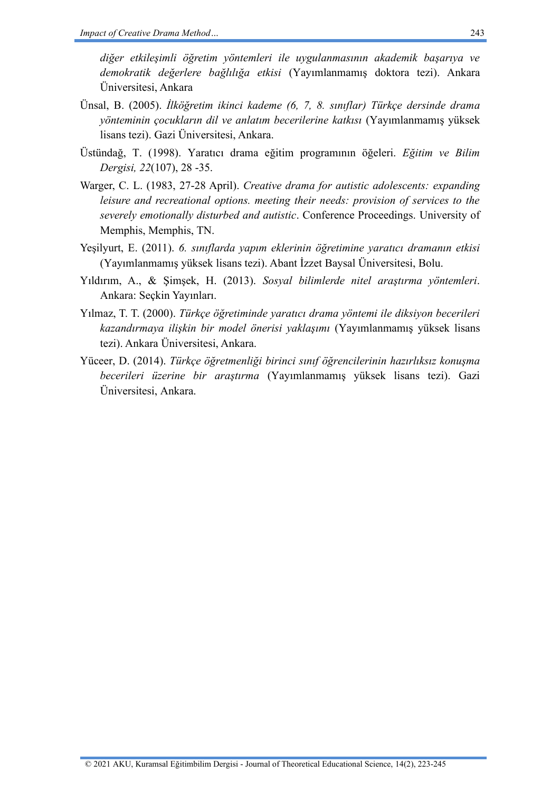*diğer etkileşimli öğretim yöntemleri ile uygulanmasının akademik başarıya ve demokratik değerlere bağlılığa etkisi* (Yayımlanmamış doktora tezi). Ankara Üniversitesi, Ankara

- Ünsal, B. (2005). *İlköğretim ikinci kademe (6, 7, 8. sınıflar) Türkçe dersinde drama yönteminin çocukların dil ve anlatım becerilerine katkısı* (Yayımlanmamış yüksek lisans tezi). Gazi Üniversitesi, Ankara.
- Üstündağ, T. (1998). Yaratıcı drama eğitim programının öğeleri. *Eğitim ve Bilim Dergisi, 22*(107), 28 -35.
- Warger, C. L. (1983, 27-28 April). *Creative drama for autistic adolescents: expanding leisure and recreational options. meeting their needs: provision of services to the severely emotionally disturbed and autistic*. Conference Proceedings. University of Memphis, Memphis, TN.
- Yeşilyurt, E. (2011). *6. sınıflarda yapım eklerinin öğretimine yaratıcı dramanın etkisi*  (Yayımlanmamış yüksek lisans tezi). Abant İzzet Baysal Üniversitesi, Bolu.
- Yıldırım, A., & Şimşek, H. (2013). *Sosyal bilimlerde nitel araştırma yöntemleri*. Ankara: Seçkin Yayınları.
- Yılmaz, T. T. (2000). *Türkçe öğretiminde yaratıcı drama yöntemi ile diksiyon becerileri kazandırmaya ilişkin bir model önerisi yaklaşımı* (Yayımlanmamış yüksek lisans tezi). Ankara Üniversitesi, Ankara.
- Yüceer, D. (2014). *Türkçe öğretmenliği birinci sınıf öğrencilerinin hazırlıksız konuşma becerileri üzerine bir araştırma* (Yayımlanmamış yüksek lisans tezi). Gazi Üniversitesi, Ankara.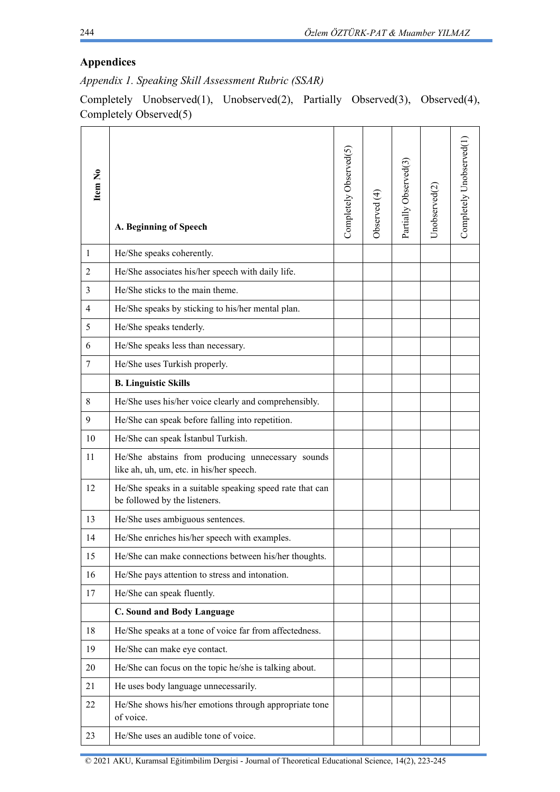# **Appendices**

*Appendix 1. Speaking Skill Assessment Rubric (SSAR)*

Completely Unobserved(1), Unobserved(2), Partially Observed(3), Observed(4), Completely Observed(5)

| Item No        | A. Beginning of Speech                                                                        | Completely Observed(5) | Observed (4) | Partially Observed(3) | Unobserved(2) | Completely Unobserved(1) |
|----------------|-----------------------------------------------------------------------------------------------|------------------------|--------------|-----------------------|---------------|--------------------------|
| 1              | He/She speaks coherently.                                                                     |                        |              |                       |               |                          |
| $\overline{2}$ | He/She associates his/her speech with daily life.                                             |                        |              |                       |               |                          |
| 3              | He/She sticks to the main theme.                                                              |                        |              |                       |               |                          |
| $\overline{4}$ | He/She speaks by sticking to his/her mental plan.                                             |                        |              |                       |               |                          |
| 5              | He/She speaks tenderly.                                                                       |                        |              |                       |               |                          |
| 6              | He/She speaks less than necessary.                                                            |                        |              |                       |               |                          |
| 7              | He/She uses Turkish properly.                                                                 |                        |              |                       |               |                          |
|                | <b>B. Linguistic Skills</b>                                                                   |                        |              |                       |               |                          |
| 8              | He/She uses his/her voice clearly and comprehensibly.                                         |                        |              |                       |               |                          |
| 9              | He/She can speak before falling into repetition.                                              |                        |              |                       |               |                          |
| 10             | He/She can speak İstanbul Turkish.                                                            |                        |              |                       |               |                          |
| 11             | He/She abstains from producing unnecessary sounds<br>like ah, uh, um, etc. in his/her speech. |                        |              |                       |               |                          |
| 12             | He/She speaks in a suitable speaking speed rate that can<br>be followed by the listeners.     |                        |              |                       |               |                          |
| 13             | He/She uses ambiguous sentences.                                                              |                        |              |                       |               |                          |
| 14             | He/She enriches his/her speech with examples.                                                 |                        |              |                       |               |                          |
| 15             | He/She can make connections between his/her thoughts.                                         |                        |              |                       |               |                          |
| 16             | He/She pays attention to stress and intonation.                                               |                        |              |                       |               |                          |
| 17             | He/She can speak fluently.                                                                    |                        |              |                       |               |                          |
|                | C. Sound and Body Language                                                                    |                        |              |                       |               |                          |
| 18             | He/She speaks at a tone of voice far from affectedness.                                       |                        |              |                       |               |                          |
| 19             | He/She can make eye contact.                                                                  |                        |              |                       |               |                          |
| 20             | He/She can focus on the topic he/she is talking about.                                        |                        |              |                       |               |                          |
| 21             | He uses body language unnecessarily.                                                          |                        |              |                       |               |                          |
| 22             | He/She shows his/her emotions through appropriate tone<br>of voice.                           |                        |              |                       |               |                          |
| 23             | He/She uses an audible tone of voice.                                                         |                        |              |                       |               |                          |